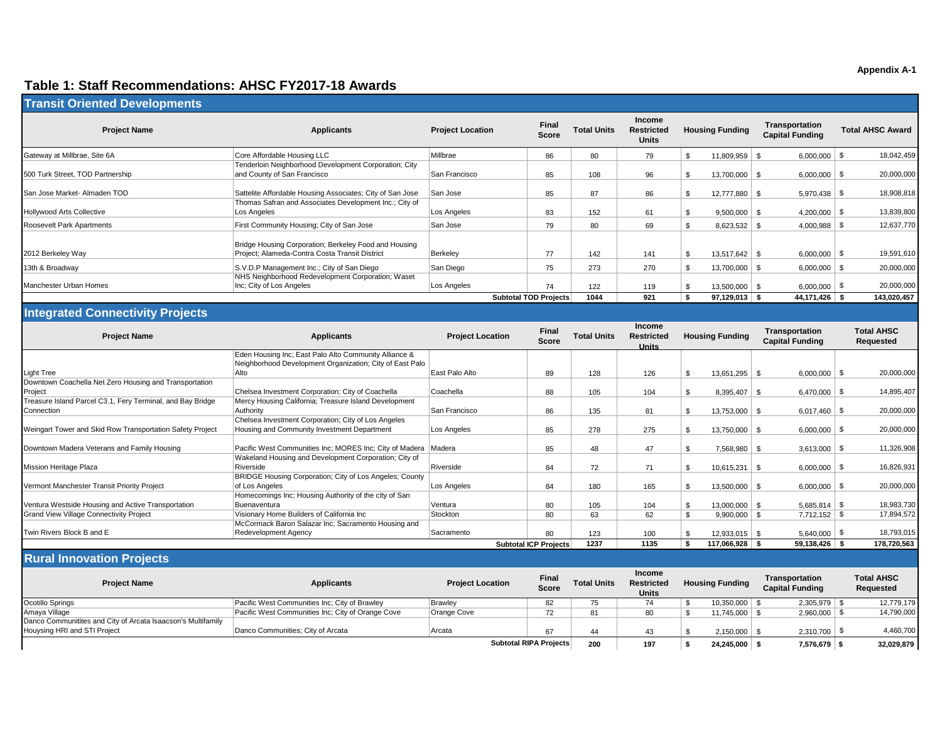## **Table 1: Staff Recommendations: AHSC FY2017-18 Awards**

| <b>Transit Oriented Developments</b>                                     |                                                                                                                   |                         |                              |                    |                                                    |                        |                        |                                          |                                       |
|--------------------------------------------------------------------------|-------------------------------------------------------------------------------------------------------------------|-------------------------|------------------------------|--------------------|----------------------------------------------------|------------------------|------------------------|------------------------------------------|---------------------------------------|
| <b>Project Name</b>                                                      | <b>Applicants</b>                                                                                                 | <b>Project Location</b> | Final<br><b>Score</b>        | <b>Total Units</b> | Income<br><b>Restricted</b><br><b>Units</b>        | <b>Housing Funding</b> |                        | Transportation<br><b>Capital Funding</b> | <b>Total AHSC Award</b>               |
| Gateway at Millbrae, Site 6A                                             | Core Affordable Housing LLC                                                                                       | Millbrae                | 86                           | 80                 | 79                                                 | \$                     | $11,809,959$ \$        | $6,000,000$ \ \$                         | 18,042,459                            |
| 500 Turk Street, TOD Partnership                                         | Tenderloin Neighborhood Development Corporation; City<br>and County of San Francisco                              | San Francisco           | 85                           | 108                | 96                                                 | $\mathfrak{L}$         | 13,700,000             | $6,000,000$ \ \$<br>- \$                 | 20,000,000                            |
| San Jose Market- Almaden TOD                                             | Sattelite Affordable Housing Associates; City of San Jose                                                         | San Jose                | 85                           | 87                 | 86                                                 | \$                     | 12,777,880 \ \$        |                                          | 18,908,818                            |
| <b>Hollywood Arts Collective</b>                                         | Thomas Safran and Associates Development Inc.; City of<br>Los Angeles                                             | Los Angeles             | 83                           | 152                | 61                                                 | S.                     | $9,500,000$ \$         | $4,200,000$ \ \$                         | 13,839,800                            |
| <b>Roosevelt Park Apartments</b>                                         | First Community Housing; City of San Jose                                                                         | San Jose                | 79                           | 80                 | 69                                                 | $\mathfrak{L}$         | $8,623,532$ \$         |                                          | 12,637,770                            |
| 2012 Berkeley Way                                                        | Bridge Housing Corporation; Berkeley Food and Housing<br>Project: Alameda-Contra Costa Transit District           | Berkeley                | 77                           | 142                | 141                                                | \$                     | $13,517,642$ \$        | $6,000,000$ \ \$                         | 19,591,610                            |
| 13th & Broadway                                                          | S.V.D.P Management Inc.; City of San Diego                                                                        | San Diego               | 75                           | 273                | 270                                                | $\mathfrak{L}$         | 13,700,000 \$          | $6,000,000$ \ \$                         | 20,000,000                            |
| Manchester Urban Homes                                                   | NHS Neighborhood Redevelopment Corporation; Waset<br>Inc; City of Los Angeles                                     | Los Angeles             | 74                           | 122                | 119                                                |                        | $13,500,000$ \$        | $6,000,000$ \ \$                         | 20,000,000                            |
|                                                                          |                                                                                                                   |                         | <b>Subtotal TOD Projects</b> | 1044               | 921                                                | -\$                    | $97,129,013$ \$        | 44,171,426 \$                            | 143,020,457                           |
| <b>Integrated Connectivity Projects</b>                                  |                                                                                                                   |                         |                              |                    |                                                    |                        |                        |                                          |                                       |
| <b>Project Name</b>                                                      | <b>Applicants</b>                                                                                                 | <b>Project Location</b> | Final<br><b>Score</b>        | <b>Total Units</b> | <b>Income</b><br><b>Restricted</b><br><b>Units</b> |                        | <b>Housing Funding</b> | Transportation<br><b>Capital Funding</b> | <b>Total AHSC</b><br><b>Requested</b> |
|                                                                          | Eden Housing Inc; East Palo Alto Community Alliance &<br>Neighborhood Development Organization; City of East Palo |                         |                              |                    |                                                    |                        |                        |                                          |                                       |
| <b>Light Tree</b>                                                        | Alto                                                                                                              | East Palo Alto          | 89                           | 128                | 126                                                | \$                     | $13,651,295$ \$        | $6,000,000$ \ \$                         | 20,000,000                            |
| Downtown Coachella Net Zero Housing and Transportation<br>Project        | Chelsea Investment Corporation; City of Coachella                                                                 | Coachella               | 88                           | 105                | 104                                                | S.                     | $8,395,407$ \$         | $6,470,000$ \ \$                         | 14,895,407                            |
| Treasure Island Parcel C3.1, Fery Terminal, and Bay Bridge<br>Connection | Mercy Housing California; Treasure Island Development<br>Authority                                                | San Francisco           | <b>R</b>                     | 135                | R <sub>1</sub>                                     | ¢                      | $13753000$ $\sqrt{8}$  | $6.017460$ \ $$$                         | 20,000,000                            |

| וטסופו ון                                                  | Oncided investment Corporation, Oily or Ocachella              | <b>UUGUIUIIG</b> | ບບ                    | ט ו  | 1 U + | ບ.ບອບ. <del>+</del> ບ / ພ | $0, 410, 000 + 9$ | 17,000,701  |
|------------------------------------------------------------|----------------------------------------------------------------|------------------|-----------------------|------|-------|---------------------------|-------------------|-------------|
| Treasure Island Parcel C3.1, Fery Terminal, and Bay Bridge | Mercy Housing California; Treasure Island Development          |                  |                       |      |       |                           |                   |             |
| Connection                                                 | Authority                                                      | San Francisco    | 86                    | 135  | 81    | 13,753,000                | $6.017.460$ \ \$  | 20,000,000  |
|                                                            | Chelsea Investment Corporation; City of Los Angeles            |                  |                       |      |       |                           |                   |             |
| Weingart Tower and Skid Row Transportation Safety Project  | Housing and Community Investment Department                    | Los Angeles      | 85                    | 278  | 275   | 13,750,000 \$             | $6,000,000$ \ \$  | 20,000,000  |
|                                                            |                                                                |                  |                       |      |       |                           |                   |             |
| Downtown Madera Veterans and Family Housing                | Pacific West Communities Inc; MORES Inc; City of Madera Madera |                  | 85                    | 48   | 47    | 7,568,980                 |                   | 11,326,908  |
|                                                            | Wakeland Housing and Development Corporation; City of          |                  |                       |      |       |                           |                   |             |
| <b>Mission Heritage Plaza</b>                              | Riverside                                                      | Riverside        | 84                    | 72   | 71    | 10.615.231                | $6,000,000$ \ \$  | 16,826,931  |
|                                                            | BRIDGE Housing Corporation; City of Los Angeles; County        |                  |                       |      |       |                           |                   |             |
| Vermont Manchester Transit Priority Project                | of Los Angeles                                                 | Los Angeles      | 84                    | 180  | 165   | 13.500.000                | $6,000,000$ \ \$  | 20,000,000  |
|                                                            | Homecomings Inc; Housing Authority of the clty of San          |                  |                       |      |       |                           |                   |             |
| Ventura Westside Housing and Active Transportation         | Buenaventura                                                   | Ventura          | 80                    | 105  | 104   | 13,000,000 \$             | $5,685,814$ \\$   | 18,983,730  |
| <b>Grand View Village Connectivity Project</b>             | Visionary Home Builders of California Inc                      | Stockton         | 80                    | 63   | 62    | $9,900,000$ \$            | $7.712.152$ \ \$  | 17,894,572  |
|                                                            | McCormack Baron Salazar Inc: Sacramento Housing and            |                  |                       |      |       |                           |                   |             |
| Twin Rivers Block B and E                                  | Redevelopment Agency                                           | Sacramento       | 80                    | 123  | 100   |                           | 5,640,000         | 18,793,015  |
|                                                            |                                                                |                  | Subtotal ICP Projects | 1237 | 1135  | 117,066,928               | 59,138,426        | 178,720,563 |

## **Rural Innovation Projects**

| <b>Project Name</b>                                          | Applicants                                        | <b>Project Location</b> | <b>Final</b><br>Score  | <b>Total Units</b> | <b>Income</b><br><b>Restricted</b><br><b>Units</b> | <b>Housing Funding</b> | Transportation<br><b>Capital Funding</b> | <b>Total AHSC</b><br>Requested |
|--------------------------------------------------------------|---------------------------------------------------|-------------------------|------------------------|--------------------|----------------------------------------------------|------------------------|------------------------------------------|--------------------------------|
| Ocotillo Springs                                             | Pacific West Communities Inc; City of Brawley     | Brawley                 | 82                     |                    |                                                    | 10,350,000             | 2,305,979                                | 12,779,179                     |
| Amaya Village                                                | Pacific West Communities Inc; City of Orange Cove | Orange Cove             | 70.                    |                    |                                                    | 11,745,000             | 2,960,000                                | 14,790,000                     |
| Danco Communitites and City of Arcata Isaacson's Multifamily |                                                   |                         |                        |                    |                                                    |                        |                                          |                                |
| Houysing HRI and STI Project                                 | Danco Communities; City of Arcata                 | ∣Arcata                 | 67                     | 44                 |                                                    | 2.150.000              | 2,310,700                                | 4,460,700                      |
|                                                              |                                                   |                         | Subtotal RIPA Projects | 200                | 197                                                | 24,245,000             | 7,576,679                                | 32,029,879                     |